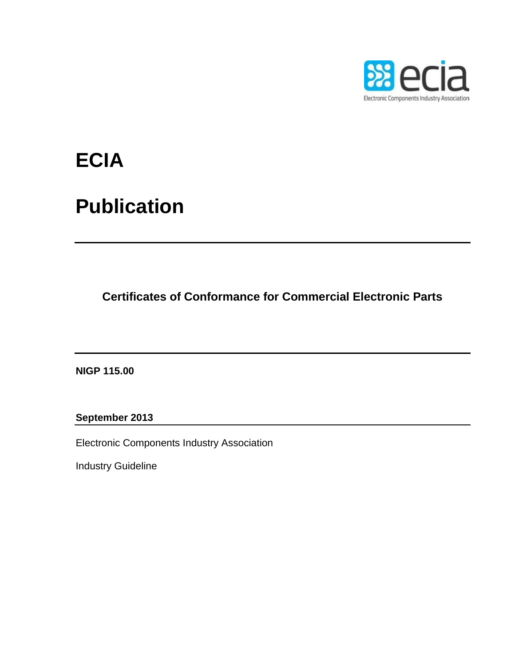

# **ECIA**

## **Publication**

**Certificates of Conformance for Commercial Electronic Parts**

**NIGP 115.00**

**September 2013**

Electronic Components Industry Association

Industry Guideline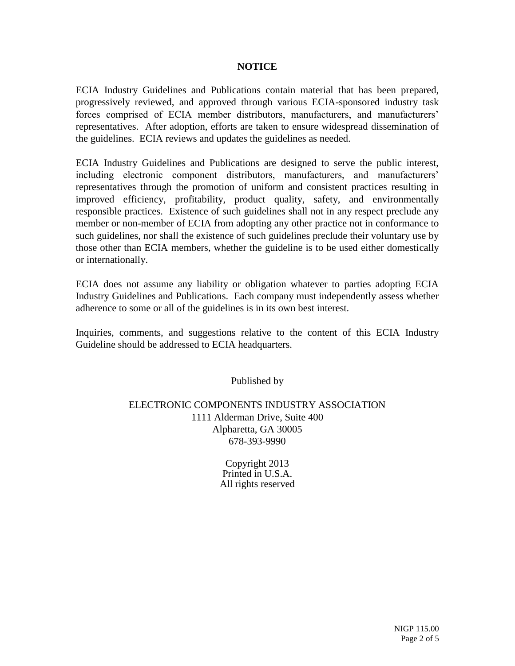#### **NOTICE**

ECIA Industry Guidelines and Publications contain material that has been prepared, progressively reviewed, and approved through various ECIA-sponsored industry task forces comprised of ECIA member distributors, manufacturers, and manufacturers' representatives. After adoption, efforts are taken to ensure widespread dissemination of the guidelines. ECIA reviews and updates the guidelines as needed.

ECIA Industry Guidelines and Publications are designed to serve the public interest, including electronic component distributors, manufacturers, and manufacturers' representatives through the promotion of uniform and consistent practices resulting in improved efficiency, profitability, product quality, safety, and environmentally responsible practices. Existence of such guidelines shall not in any respect preclude any member or non-member of ECIA from adopting any other practice not in conformance to such guidelines, nor shall the existence of such guidelines preclude their voluntary use by those other than ECIA members, whether the guideline is to be used either domestically or internationally.

ECIA does not assume any liability or obligation whatever to parties adopting ECIA Industry Guidelines and Publications. Each company must independently assess whether adherence to some or all of the guidelines is in its own best interest.

Inquiries, comments, and suggestions relative to the content of this ECIA Industry Guideline should be addressed to ECIA headquarters.

Published by

#### ELECTRONIC COMPONENTS INDUSTRY ASSOCIATION 1111 Alderman Drive, Suite 400 Alpharetta, GA 30005 678-393-9990

Copyright 2013 Printed in U.S.A. All rights reserved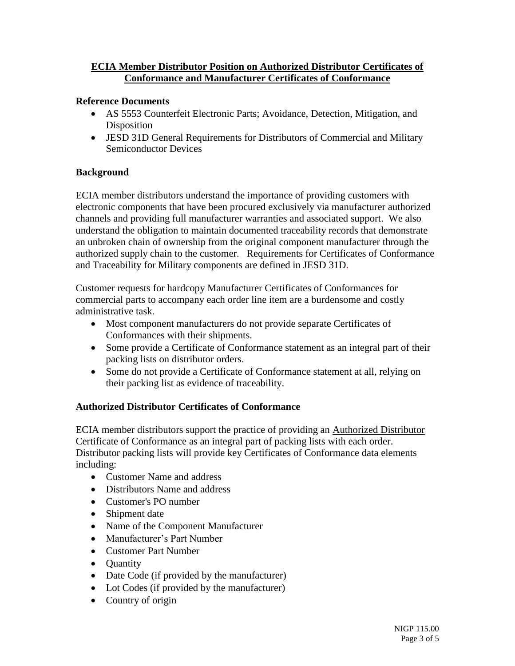### **ECIA Member Distributor Position on Authorized Distributor Certificates of Conformance and Manufacturer Certificates of Conformance**

#### **Reference Documents**

- AS 5553 Counterfeit Electronic Parts; Avoidance, Detection, Mitigation, and Disposition
- JESD 31D General Requirements for Distributors of Commercial and Military Semiconductor Devices

#### **Background**

ECIA member distributors understand the importance of providing customers with electronic components that have been procured exclusively via manufacturer authorized channels and providing full manufacturer warranties and associated support. We also understand the obligation to maintain documented traceability records that demonstrate an unbroken chain of ownership from the original component manufacturer through the authorized supply chain to the customer. Requirements for Certificates of Conformance and Traceability for Military components are defined in JESD 31D.

Customer requests for hardcopy Manufacturer Certificates of Conformances for commercial parts to accompany each order line item are a burdensome and costly administrative task.

- Most component manufacturers do not provide separate Certificates of Conformances with their shipments.
- Some provide a Certificate of Conformance statement as an integral part of their packing lists on distributor orders.
- Some do not provide a Certificate of Conformance statement at all, relying on their packing list as evidence of traceability.

### **Authorized Distributor Certificates of Conformance**

ECIA member distributors support the practice of providing an Authorized Distributor Certificate of Conformance as an integral part of packing lists with each order. Distributor packing lists will provide key Certificates of Conformance data elements including:

- Customer Name and address
- Distributors Name and address
- Customer's PO number
- Shipment date
- Name of the Component Manufacturer
- Manufacturer's Part Number
- Customer Part Number
- Ouantity
- Date Code (if provided by the manufacturer)
- Lot Codes (if provided by the manufacturer)
- Country of origin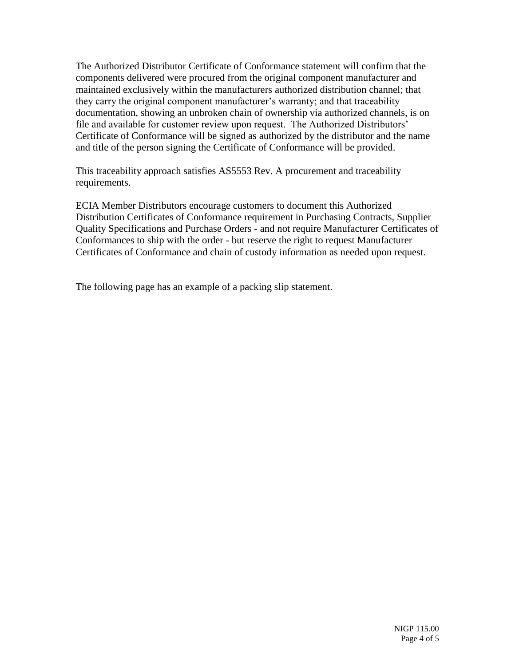The Authorized Distributor Certificate of Conformance statement will confirm that the components delivered were procured from the original component manufacturer and maintained exclusively within the manufacturers authorized distribution channel; that they carry the original component manufacturer's warranty; and that traceability documentation, showing an unbroken chain of ownership via authorized channels, is on file and available for customer review upon request. The Authorized Distributors' Certificate of Conformance will be signed as authorized by the distributor and the name and title of the person signing the Certificate of Conformance will be provided.

This traceability approach satisfies AS5553 Rev. A procurement and traceability requirements.

ECIA Member Distributors encourage customers to document this Authorized Distribution Certificates of Conformance requirement in Purchasing Contracts, Supplier Quality Specifications and Purchase Orders - and not require Manufacturer Certificates of Conformances to ship with the order - but reserve the right to request Manufacturer Certificates of Conformance and chain of custody information as needed upon request.

The following page has an example of a packing slip statement.